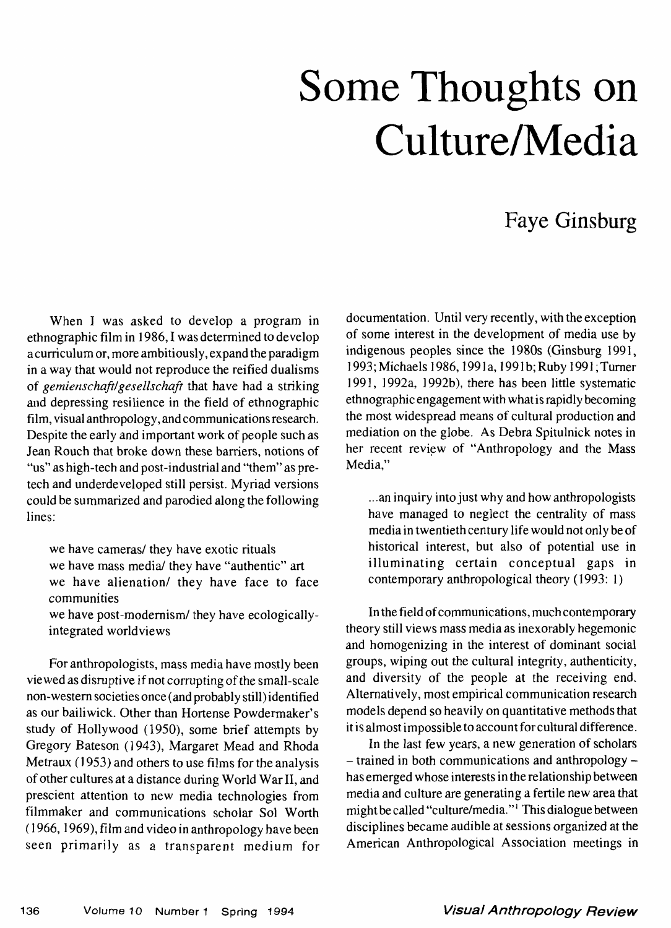## Some Thoughts on Culture/Media

## Faye Ginsburg

When I was asked to develop a program in ethnographic film in 1986,1 was determined to develop a curriculum or, more ambitiously, expand the paradigm in a way that would not reproduce the reified dualisms of *gemienschafiJgesellschaft* that have had a striking and depressing resilience in the field of ethnographic film, visual anthropology, and communications research. Despite the early and important work of people such as Jean Rouch that broke down these barriers, notions of "us" as high-tech and post-industrial and "them" as pretech and underdeveloped still persist. Myriad versions could be summarized and parodied along the following lines:

we have cameras/ they have exotic rituals we have mass media/ they have "authentic" art we have alienation/ they have face to face communities

we have post-modernism/ they have ecologicallyintegrated world views

For anthropologists, mass media have mostly been viewed as disruptive if not corrupting of the small-scale non-western societies once (and probably still) identified as our bailiwick. Other than Hortense Powdermaker's study of Hollywood (1950), some brief attempts by Gregory Bateson (1943), Margaret Mead and Rhoda Metraux (1953) and others to use films for the analysis of other cultures at a distance during World War II, and prescient attention to new media technologies from filmmaker and communications scholar Sol Worth (1966,1969), film and video in anthropology have been seen primarily as a transparent medium for

documentation. Until very recently, with the exception of some interest in the development of media use by indigenous peoples since the 1980s (Ginsburg 1991, 1993; Michaels 1986,1991a, 1991b; Ruby 1991; Turner 1991, 1992a, 1992b), there has been little systematic ethnographic engagement with what is rapidly becoming the most widespread means of cultural production and mediation on the globe. As Debra Spitulnick notes in her recent review of "Anthropology and the Mass Media."

...an inquiry into just why and how anthropologists have managed to neglect the centrality of mass media in twentieth century life would not only be of historical interest, but also of potential use in illuminating certain conceptual gaps in contemporary anthropological theory (1993: 1)

In the field of communications, much contemporary theory still views mass media as inexorably hegemonic and homogenizing in the interest of dominant social groups, wiping out the cultural integrity, authenticity, and diversity of the people at the receiving end. Alternatively, most empirical communication research models depend so heavily on quantitative methods that it is almost impossible to account for cultural difference.

In the last few years, a new generation of scholars - trained in both communications and anthropology has emerged whose interests in the relationship between media and culture are generating a fertile new area that might be called "culture/media."<sup>1</sup> This dialogue between disciplines became audible at sessions organized at the American Anthropological Association meetings in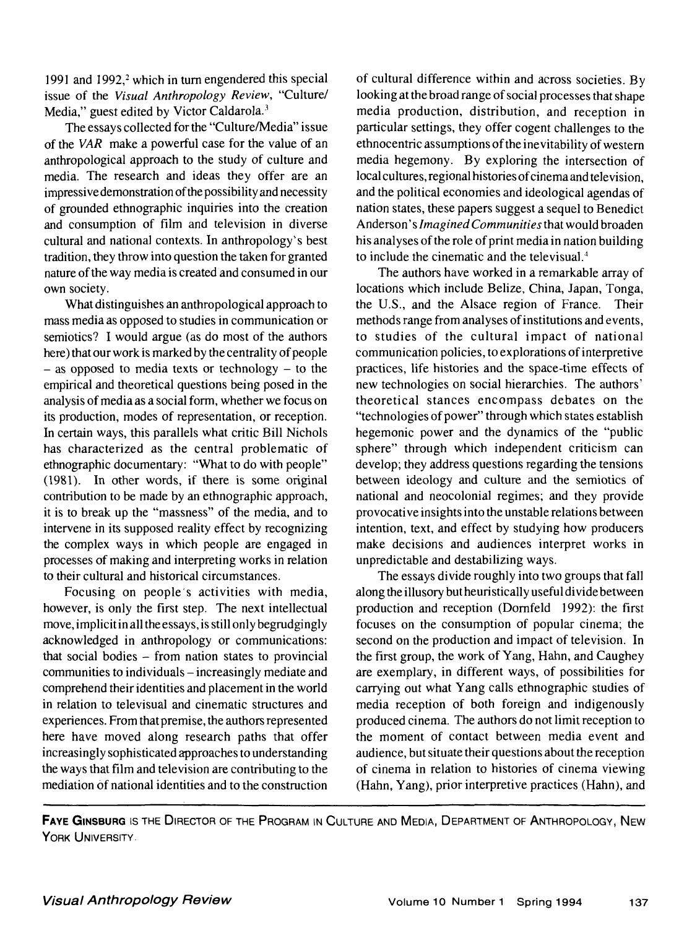1991 and 1992,<sup>2</sup> which in turn engendered this special **issue of the** *Visual Anthropology Review,* **"Culture/** Media," guest edited by Victor Caldarola.<sup>3</sup>

The essays collected for the "Culture/Media" issue of the *VAR* make a powerful case for the value of an anthropological approach to the study of culture and media. The research and ideas they offer are an impressive demonstration of the possibility and necessity of grounded ethnographic inquiries into the creation and consumption of film and television in diverse cultural and national contexts. In anthropology's best tradition, they throw into question the taken for granted nature of the way media is created and consumed in our own society.

What distinguishes an anthropological approach to mass media as opposed to studies in communication or semiotics? I would argue (as do most of the authors here) that our work is marked by the centrality of people  $-$  as opposed to media texts or technology  $-$  to the empirical and theoretical questions being posed in the analysis of media as a social form, whether we focus on its production, modes of representation, or reception. In certain ways, this parallels what critic Bill Nichols has characterized as the central problematic of ethnographic documentary: "What to do with people" (1981). In other words, if there is some original contribution to be made by an ethnographic approach, it is to break up the "massness" of the media, and to intervene in its supposed reality effect by recognizing the complex ways in which people are engaged in processes of making and interpreting works in relation to their cultural and historical circumstances.

Focusing on people's activities with media, however, is only the first step. The next intellectual move, implicit in all the essays, is still only begrudgingly acknowledged in anthropology or communications: that social bodies  $-$  from nation states to provincial communities to individuals – increasingly mediate and comprehend their identities and placement in the world in relation to televisual and cinematic structures and experiences. From that premise, the authors represented here have moved along research paths that offer increasingly sophisticated approaches to understanding the ways that film and television are contributing to the mediation of national identities and to the construction

of cultural difference within and across societies. By looking at the broad range of social processes that shape media production, distribution, and reception in particular settings, they offer cogent challenges to the ethnocentric assumptions of the inevitability of western media hegemony. By exploring the intersection of local cultures, regional histories of cinema and television, and the political economies and ideological agendas of nation states, these papers suggest a sequel to Benedict Anderson' s *Imagined Communities* that would broaden his analyses of the role of print media in nation building to include the cinematic and the televisual.<sup>4</sup>

The authors have worked in a remarkable array of locations which include Belize, China, Japan, Tonga, the U.S., and the Alsace region of France. Their methods range from analyses of institutions and events, to studies of the cultural impact of national communication policies, to explorations of interpretive practices, life histories and the space-time effects of new technologies on social hierarchies. The authors' theoretical stances encompass debates on the "technologies of power" through which states establish hegemonic power and the dynamics of the "public sphere" through which independent criticism can develop; they address questions regarding the tensions between ideology and culture and the semiotics of national and neocolonial regimes; and they provide provocative insights into the unstable relations between intention, text, and effect by studying how producers make decisions and audiences interpret works in unpredictable and destabilizing ways.

The essays divide roughly into two groups that fall along the illusory but heuristically useful divide between production and reception (Dornfeld 1992): the first focuses on the consumption of popular cinema; the second on the production and impact of television. In the first group, the work of Yang, Hahn, and Caughey are exemplary, in different ways, of possibilities for carrying out what Yang calls ethnographic studies of media reception of both foreign and indigenously produced cinema. The authors do not limit reception to the moment of contact between media event and audience, but situate their questions about the reception of cinema in relation to histories of cinema viewing (Hahn, Yang), prior interpretive practices (Hahn), and

**FAYE GINSBURG** IS THE DIRECTOR OF THE PROGRAM IN CULTURE AND MEDIA, DEPARTMENT OF ANTHROPOLOGY, NEW YORK UNIVERSITY.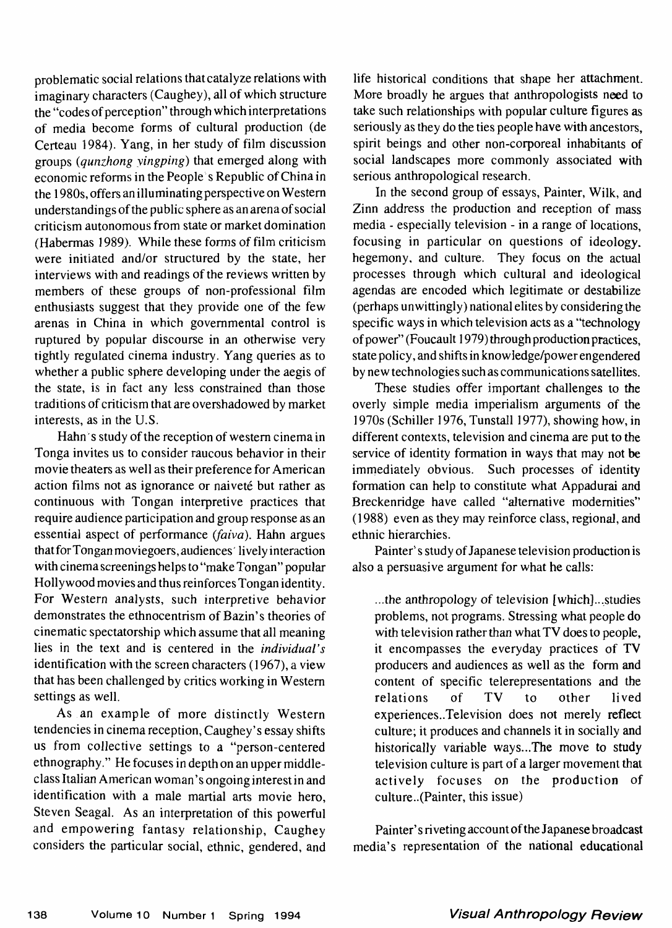problematic social relations that catalyze relations with imaginary characters (Caughey), all of which structure the "codes of perception" through which interpretations of media become forms of cultural production (de Certeau 1984). Yang, in her study of film discussion groups *(qunzhong yingping)* that emerged along with economic reforms in the People s Republic of China in the 1980s, offers an illuminating perspective on Western understandings of the public sphere as an arena of social criticism autonomous from state or market domination (Habermas *1*989). While these forms of film criticism were initiated and/or structured by the state, her interviews with and readings of the reviews written by members of these groups of non-professional film enthusiasts suggest that they provide one of the few arenas in China in which governmental control is ruptured by popular discourse in an otherwise very tightly regulated cinema industry. Yang queries as to whether a public sphere developing under the aegis of the state, is in fact any less constrained than those traditions of criticism that are overshadowed by market interests, as in the U.S.

Hahn's study of the reception of western cinema in Tonga invites us to consider raucous behavior in their movie theaters as well as their preference for American action films not as ignorance or naiveté but rather as continuous with Tongan interpretive practices that require audience participation and group response as an essential aspect of performance *(faiva).* Hahn argues that for Tongan moviegoers, audiences' lively interaction with cinema screenings helps to "make Tongan" popular Hollywood movies and thus reinforces Tongan identity. For Western analysts, such interpretive behavior demonstrates the ethnocentrism of Bazin's theories of cinematic spectatorship which assume that all meaning lies in the text and is centered in the *individual's* identification with the screen characters (1967), a view that has been challenged by critics working in Western settings as well.

As an example of more distinctly Western tendencies in cinema reception, Caughey's essay shifts us from collective settings to a "person-centered ethnography." He focuses in depth on an upper middleclass Italian American woman' s ongoing interest in and identification with a male martial arts movie hero, Steven Seagal. As an interpretation of this powerful and empowering fantasy relationship, Caughey considers the particular social, ethnic, gendered, and life historical conditions that shape her attachment. More broadly he argues that anthropologists need to take such relationships with popular culture figures as seriously as they do the ties people have with ancestors, spirit beings and other non-corporeal inhabitants of social landscapes more commonly associated with serious anthropological research.

In the second group of essays, Painter, Wilk, and Zinn address the production and reception of mass media - especially television - in a range of locations, focusing in particular on questions of ideology, hegemony, and culture. They focus on the actual processes through which cultural and ideological agendas are encoded which legitimate or destabilize (perhaps unwittingly) national elites by considering the specific ways in which television acts as a "technology of power" (Foucault 1979) through production practices, state policy, and shifts in knowledge/power engendered by new technologies such as communications satellites.

These studies offer important challenges to the overly simple media imperialism arguments of the 1970s (Schiller 1976, Tunstall 1977), showing how, in different contexts, television and cinema are put to the service of identity formation in ways that may not be immediately obvious. Such processes of identity formation can help to constitute what Appadurai and Breckenridge have called "alternative modernities" (1988) even as they may reinforce class, regional, and ethnic hierarchies.

Painter's study of Japanese television production is also a persuasive argument for what he calls:

...the anthropology of television [which]..,studies problems, not programs. Stressing what people do with television rather than what TV does to people, it encompasses the everyday practices of TV producers and audiences as well as the form and content of specific telerepresentations and the relations of TV to other lived experiences..Tele vision does not merely reflect culture; it produces and channels it in socially and historically variable ways...The move to study television culture is part of a larger movement that actively focuses on the production of culture..(Painter, this issue)

Painter's riveting account of the Japanese broadcast media's representation of the national educational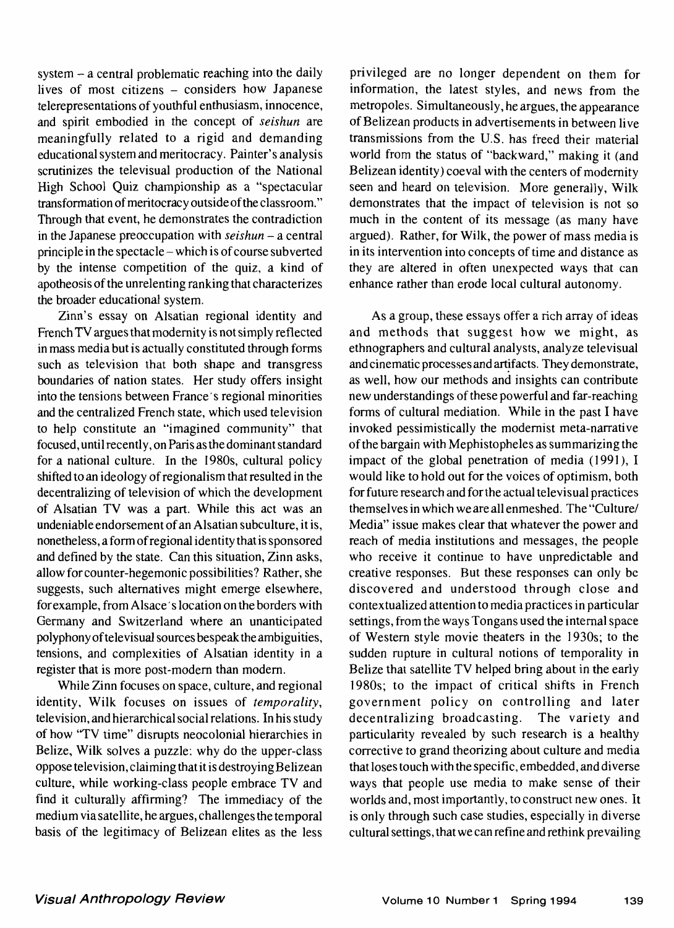system - a central problematic reaching into the daily lives of most citizens - considers how Japanese telerepresentations of youthful enthusiasm, innocence, and spirit embodied in the concept of *seishun* are meaningfully related to a rigid and demanding educational system and meritocracy. Painter's analysis scrutinizes the televisual production of the National High School Quiz championship as a "spectacular transformation of meritocracy outside of the classroom." Through that event, he demonstrates the contradiction in the Japanese preoccupation with *seishun -* a central principle in the spectacle - which is of course subverted by the intense competition of the quiz, a kind of apotheosis of the unrelenting ranking that characterizes the broader educational system.

Zinn's essay on Alsatian regional identity and French TV argues that modernity is not simply reflected in mass media but is actually constituted through forms such as television that both shape and transgress boundaries of nation states. Her study offers insight into the tensions between France's regional minorities and the centralized French state, which used television to help constitute an "imagined community" that focused, until recently, on Paris as the dominant standard for a national culture. In the 1980s, cultural policy shifted to an ideology of regionalism that resulted in the decentralizing of television of which the development of Alsatian TV was a part. While this act was an undeniable endorsement of an Alsatian subculture, it is, nonetheless, a form of regional identity that is sponsored and defined by the state. Can this situation, Zinn asks, allow for counter-hegemonic possibilities? Rather, she suggests, such alternatives might emerge elsewhere, for example, from Alsace's location on the borders with Germany and Switzerland where an unanticipated polyphony of tele visual sources bespeak the ambiguities, tensions, and complexities of Alsatian identity in a register that is more post-modern than modern.

While Zinn focuses on space, culture, and regional identity, Wilk focuses on issues of *temporality,* television, and hierarchical social relations. In his study of how 'TV time" disrupts neocolonial hierarchies in Belize, Wilk solves a puzzle: why do the upper-class oppose television, claiming that it is destroying Belizean culture, while working-class people embrace TV and find it culturally affirming? The immediacy of the medium via satellite, he argues, challenges the temporal basis of the legitimacy of Belizean elites as the less

privileged are no longer dependent on them for information, the latest styles, and news from the metropoles. Simultaneously, he argues, the appearance of Belizean products in advertisements in between live transmissions from the U.S. has freed their material world from the status of "backward," making it (and Belizean identity) coeval with the centers of modernity seen and heard on television. More generally, Wilk demonstrates that the impact of television is not so much in the content of its message (as many have argued). Rather, for Wilk, the power of mass media is in its intervention into concepts of time and distance as they are altered in often unexpected ways that can enhance rather than erode local cultural autonomy.

As a group, these essays offer a rich array of ideas and methods that suggest how we might, as ethnographers and cultural analysts, analyze televisual and cinematic processes and artifacts. They demonstrate, as well, how our methods and insights can contribute new understandings of these powerful and far-reaching forms of cultural mediation. While in the past I have invoked pessimistically the modernist meta-narrative of the bargain with Mephistopheles as summarizing the impact of the global penetration of media (1991), I would like to hold out for the voices of optimism, both for future research and for the actual televisual practices themselves in which we are all enmeshed. The "Culture/ Media" issue makes clear that whatever the power and reach of media institutions and messages, the people who receive it continue to have unpredictable and creative responses. But these responses can only be discovered and understood through close and contextualized attention to media practices in particular settings, from the ways Tongans used the internal space of Western style movie theaters in the 1930s; to the sudden rupture in cultural notions of temporality in Belize that satellite TV helped bring about in the early 1980s; to the impact of critical shifts in French government policy on controlling and later decentralizing broadcasting. The variety and particularity revealed by such research is a healthy corrective to grand theorizing about culture and media that loses touch with the specific, embedded, and diverse ways that people use media to make sense of their worlds and, most importantly, to construct new ones. It is only through such case studies, especially in diverse cultural settings, that we can refine and rethink prevailing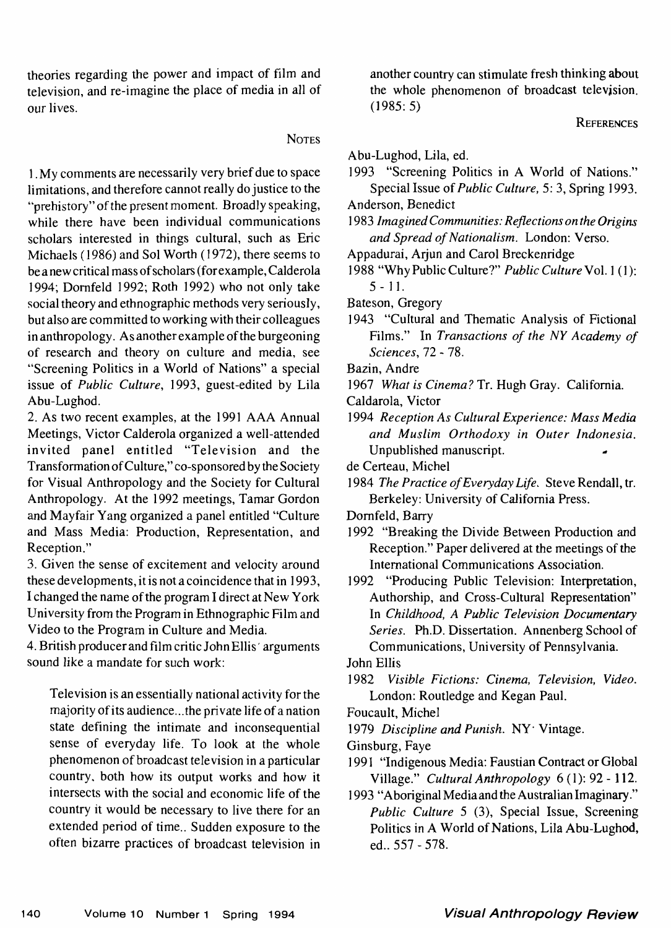theories regarding the power and impact of film and television, and re-imagine the place of media in all of our lives.

## **NOTES**

1 .My comments are necessarily very brief due to space limitations, and therefore cannot really do justice to the "prehistory" of the present moment. Broadly speaking, while there have been individual communications scholars interested in things cultural, such as Eric Michaels (1986) and Sol Worth (1972), there seems to be a new critical mass of scholars (for example, Calderola 1994; Dornfeld 1992; Roth 1992) who not only take social theory and ethnographic methods very seriously, but also are committed to working with their colleagues in anthropology. As another example of the burgeoning of research and theory on culture and media, see "Screening Politics in a World of Nations" a special issue of *Public Culture,* 1993, guest-edited by Lila Abu-Lughod.

2. As two recent examples, at the 1991 AAA Annual Meetings, Victor Calderola organized a well-attended invited panel entitled "Television and the Transformation of Culture," co-sponsored by the Society for Visual Anthropology and the Society for Cultural Anthropology. At the 1992 meetings, Tamar Gordon and Mayfair Yang organized a panel entitled "Culture and Mass Media: Production, Representation, and Reception."

3. Given the sense of excitement and velocity around these developments, it is not a coincidence that in 1993, I changed the name of the program I direct at New York University from the Program in Ethnographic Film and Video to the Program in Culture and Media.

4. British producer and film critic John Ellis' arguments sound like a mandate for such work:

Television is an essentially national activity for the majority of its audience... the private life of a nation state defining the intimate and inconsequential sense of everyday life. To look at the whole phenomenon of broadcast television in a particular country, both how its output works and how it intersects with the social and economic life of the country it would be necessary to live there for an extended period of time.. Sudden exposure to the often bizarre practices of broadcast television in another country can stimulate fresh thinking about the whole phenomenon of broadcast television.  $(1985:5)$ 

## **REFERENCES**

Abu-Lughod, Lila, ed.

- 1993 "Screening Politics in A World of Nations." Special Issue of *Public Culture*, 5:3, Spring 1993.
- Anderson, Benedict
- 1983 *Imagined Communities: Reflections on the Origins and Spread of Nationalism.* London: Verso.
- Appadurai, Arjun and Carol Breckenridge
- 1988 "Why Public Culture?" *Public Culture*-Vol. 1(1): 5 - 11.
- Bateson, Gregory
- 1943 "Cultural and Thematic Analysis of Fictional Films." In *Transactions of the NY Academy of Sciences,* 72-78.

Bazin, Andre

1967 *What is Cinema?* Tr. Hugh Gray. California.

Caldarola, Victor

1994 *Reception As Cultural Experience: Mass Media and Muslim Orthodoxy in Outer Indonesia.* Unpublished manuscript. -

- de Certeau, Michel
- 1984 *The Practice of Everyday Life,* Steve Rendall, tr. Berkeley: University of California Press.
- Dornfeld, Barry
- 1992 "Breaking the Divide Between Production and Reception." Paper delivered at the meetings of the International Communications Association.
- 1992 "Producing Public Television: Interpretation, Authorship, and Cross-Cultural Representation" In *Childhood, A Public Television Documentary Series.* Ph.D. Dissertation. Annenberg School of Communications, University of Pennsylvania.

John Ellis

- 1982 *Visible Fictions: Cinema, Television, Video.* London: Routledge and Kegan Paul.
- Foucault, Michel
- 1979 Discipline and Punish. NY<sup>.</sup> Vintage.
- Ginsburg, Faye
- 1991 "Indigenous Media: Faustian Contract or Global Village." *Cultural Anthropology* 6(1): 92-112.

1993 "Aboriginal Mediaand the Australian Imaginary." *Public Culture* 5 (3), Special Issue, Screening Politics in A World of Nations, Lila Abu-Lughod, ed.. 557-578.